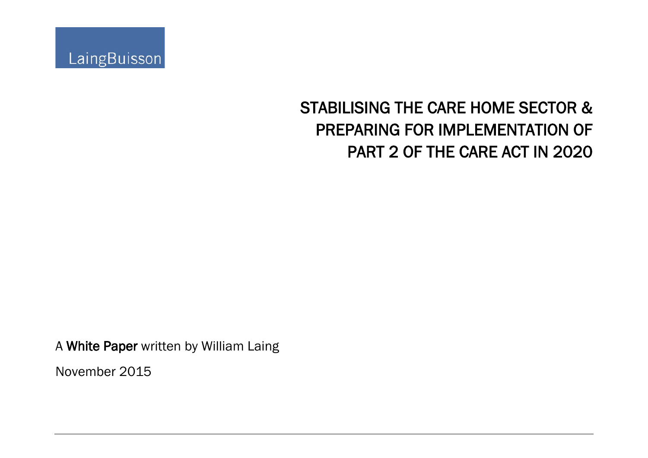

# STABILISING THE CARE HOME SECTOR & PREPARING FOR IMPLEMENTATION OF PART 2 OF THE CARE ACT IN 2020

A White Paper written by William Laing

November 2015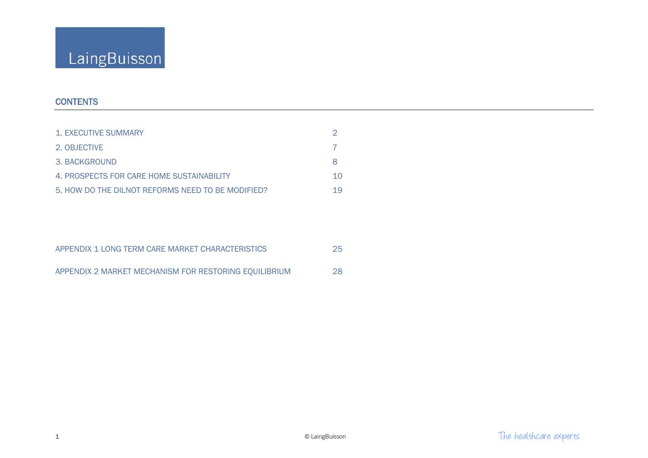# **CONTENTS**

| 1. EXECUTIVE SUMMARY                              |    |
|---------------------------------------------------|----|
| 2. OBJECTIVE                                      |    |
| 3. BACKGROUND                                     |    |
| 4. PROSPECTS FOR CARE HOME SUSTAINABILITY         | 10 |
| 5. HOW DO THE DILNOT REFORMS NEED TO BE MODIFIED? | 19 |

| APPENDIX 1 LONG TERM CARE MARKET CHARACTERISTICS      | 25  |
|-------------------------------------------------------|-----|
| APPENDIX 2 MARKET MECHANISM FOR RESTORING EQUILIBRIUM | -28 |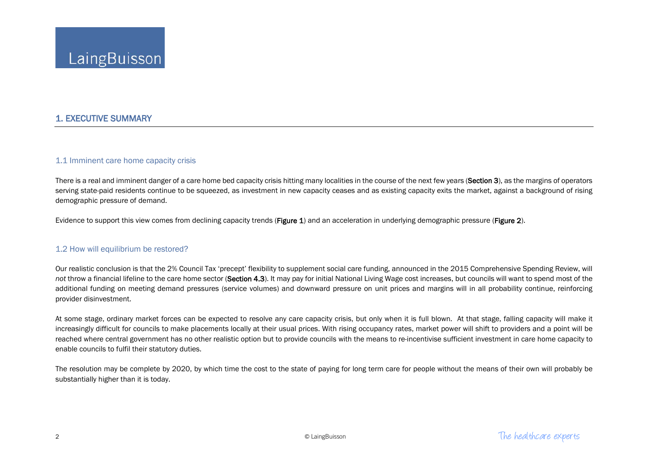# 1. EXECUTIVE SUMMARY

### 1.1 Imminent care home capacity crisis

There is a real and imminent danger of a care home bed capacity crisis hitting many localities in the course of the next few years (Section 3), as the margins of operators serving state-paid residents continue to be squeezed, as investment in new capacity ceases and as existing capacity exits the market, against a background of rising demographic pressure of demand.

Evidence to support this view comes from declining capacity trends (Figure 1) and an acceleration in underlying demographic pressure (Figure 2).

### 1.2 How will equilibrium be restored?

Our realistic conclusion is that the 2% Council Tax 'precept' flexibility to supplement social care funding, announced in the 2015 Comprehensive Spending Review, will not throw a financial lifeline to the care home sector (Section 4.3). It may pay for initial National Living Wage cost increases, but councils will want to spend most of the additional funding on meeting demand pressures (service volumes) and downward pressure on unit prices and margins will in all probability continue, reinforcing provider disinvestment.

At some stage, ordinary market forces can be expected to resolve any care capacity crisis, but only when it is full blown. At that stage, falling capacity will make it increasingly difficult for councils to make placements locally at their usual prices. With rising occupancy rates, market power will shift to providers and a point will be reached where central government has no other realistic option but to provide councils with the means to re-incentivise sufficient investment in care home capacity to enable councils to fulfil their statutory duties.

The resolution may be complete by 2020, by which time the cost to the state of paying for long term care for people without the means of their own will probably be substantially higher than it is today.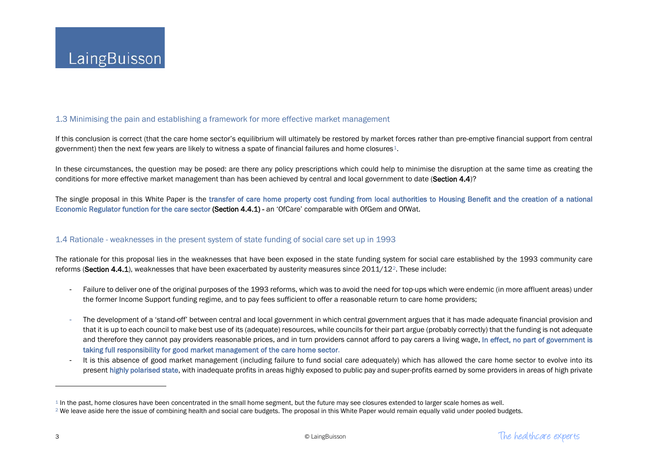## <span id="page-3-1"></span><span id="page-3-0"></span>1.3 Minimising the pain and establishing a framework for more effective market management

If this conclusion is correct (that the care home sector's equilibrium will ultimately be restored by market forces rather than pre-emptive financial support from central government) then the next few years are likely to witness a spate of financial failures and home closures $4$ .

In these circumstances, the question may be posed: are there any policy prescriptions which could help to minimise the disruption at the same time as creating the conditions for more effective market management than has been achieved by central and local government to date (Section 4.4)?

The single proposal in this White Paper is the transfer of care home property cost funding from local authorities to Housing Benefit and the creation of a national Economic Regulator function for the care sector (Section 4.4.1) - an 'OfCare' comparable with OfGem and OfWat.

## 1.4 Rationale - weaknesses in the present system of state funding of social care set up in 1993

The rationale for this proposal lies in the weaknesses that have been exposed in the state funding system for social care established by the 1993 community care reforms (Section 4.4.1), weaknesses that have been exacerbated by austerity measures since [2](#page-3-1)011/12<sup>2</sup>. These include:

- Failure to deliver one of the original purposes of the 1993 reforms, which was to avoid the need for top-ups which were endemic (in more affluent areas) under the former Income Support funding regime, and to pay fees sufficient to offer a reasonable return to care home providers;
- The development of a 'stand-off' between central and local government in which central government argues that it has made adequate financial provision and that it is up to each council to make best use of its (adequate) resources, while councils for their part argue (probably correctly) that the funding is not adequate and therefore they cannot pay providers reasonable prices, and in turn providers cannot afford to pay carers a living wage. In effect, no part of government is taking full responsibility for good market management of the care home sector.
- It is this absence of good market management (including failure to fund social care adequately) which has allowed the care home sector to evolve into its present highly polarised state, with inadequate profits in areas highly exposed to public pay and super-profits earned by some providers in areas of high private

l

 $1$  In the past, home closures have been concentrated in the small home segment, but the future may see closures extended to larger scale homes as well.

<sup>&</sup>lt;sup>2</sup> We leave aside here the issue of combining health and social care budgets. The proposal in this White Paper would remain equally valid under pooled budgets.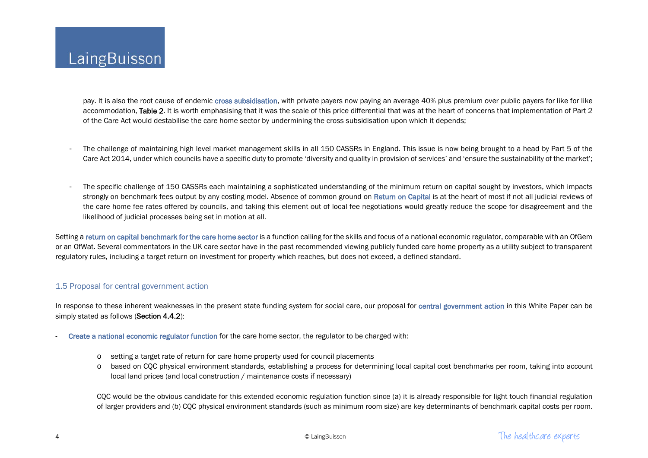pay. It is also the root cause of endemic cross subsidisation, with private payers now paying an average 40% plus premium over public payers for like for like accommodation, Table 2. It is worth emphasising that it was the scale of this price differential that was at the heart of concerns that implementation of Part 2 of the Care Act would destabilise the care home sector by undermining the cross subsidisation upon which it depends;

- The challenge of maintaining high level market management skills in all 150 CASSRs in England. This issue is now being brought to a head by Part 5 of the Care Act 2014, under which councils have a specific duty to promote 'diversity and quality in provision of services' and 'ensure the sustainability of the market';
- The specific challenge of 150 CASSRs each maintaining a sophisticated understanding of the minimum return on capital sought by investors, which impacts strongly on benchmark fees output by any costing model. Absence of common ground on Return on Capital is at the heart of most if not all judicial reviews of the care home fee rates offered by councils, and taking this element out of local fee negotiations would greatly reduce the scope for disagreement and the likelihood of judicial processes being set in motion at all.

Setting a return on capital benchmark for the care home sector is a function calling for the skills and focus of a national economic regulator, comparable with an OfGem or an OfWat. Several commentators in the UK care sector have in the past recommended viewing publicly funded care home property as a utility subject to transparent regulatory rules, including a target return on investment for property which reaches, but does not exceed, a defined standard.

## 1.5 Proposal for central government action

In response to these inherent weaknesses in the present state funding system for social care, our proposal for central government action in this White Paper can be simply stated as follows (Section 4.4.2):

- Create a national economic regulator function for the care home sector, the regulator to be charged with:
	- o setting a target rate of return for care home property used for council placements
	- o based on CQC physical environment standards, establishing a process for determining local capital cost benchmarks per room, taking into account local land prices (and local construction / maintenance costs if necessary)

CQC would be the obvious candidate for this extended economic regulation function since (a) it is already responsible for light touch financial regulation of larger providers and (b) CQC physical environment standards (such as minimum room size) are key determinants of benchmark capital costs per room.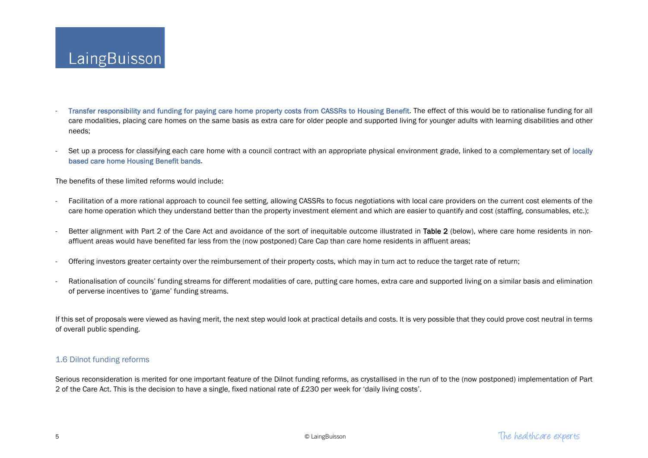- Transfer responsibility and funding for paying care home property costs from CASSRs to Housing Benefit. The effect of this would be to rationalise funding for all care modalities, placing care homes on the same basis as extra care for older people and supported living for younger adults with learning disabilities and other needs;
- Set up a process for classifying each care home with a council contract with an appropriate physical environment grade, linked to a complementary set of locally based care home Housing Benefit bands.

The benefits of these limited reforms would include:

- Facilitation of a more rational approach to council fee setting, allowing CASSRs to focus negotiations with local care providers on the current cost elements of the care home operation which they understand better than the property investment element and which are easier to quantify and cost (staffing, consumables, etc.);
- Better alignment with Part 2 of the Care Act and avoidance of the sort of inequitable outcome illustrated in Table 2 (below), where care home residents in nonaffluent areas would have benefited far less from the (now postponed) Care Cap than care home residents in affluent areas;
- Offering investors greater certainty over the reimbursement of their property costs, which may in turn act to reduce the target rate of return;
- Rationalisation of councils' funding streams for different modalities of care, putting care homes, extra care and supported living on a similar basis and elimination of perverse incentives to 'game' funding streams.

If this set of proposals were viewed as having merit, the next step would look at practical details and costs. It is very possible that they could prove cost neutral in terms of overall public spending.

### 1.6 Dilnot funding reforms

Serious reconsideration is merited for one important feature of the Dilnot funding reforms, as crystallised in the run of to the (now postponed) implementation of Part 2 of the Care Act. This is the decision to have a single, fixed national rate of £230 per week for 'daily living costs'.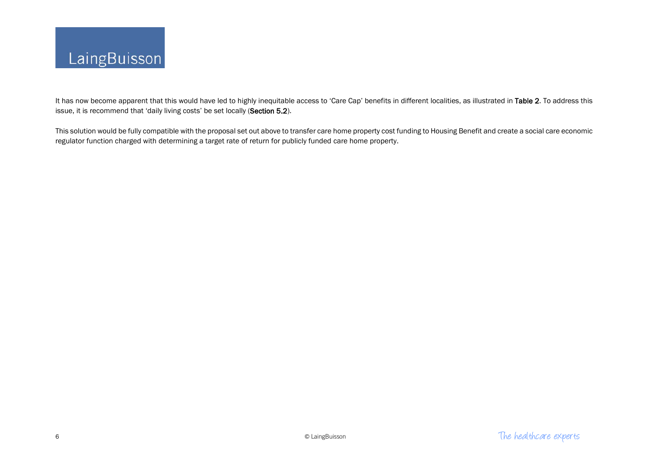

It has now become apparent that this would have led to highly inequitable access to 'Care Cap' benefits in different localities, as illustrated in Table 2. To address this issue, it is recommend that 'daily living costs' be set locally (Section 5.2).

This solution would be fully compatible with the proposal set out above to transfer care home property cost funding to Housing Benefit and create a social care economic regulator function charged with determining a target rate of return for publicly funded care home property.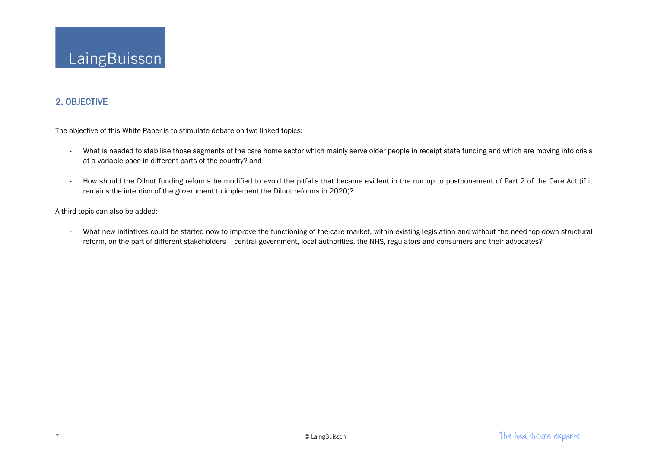# 2. OBJECTIVE

The objective of this White Paper is to stimulate debate on two linked topics:

- What is needed to stabilise those segments of the care home sector which mainly serve older people in receipt state funding and which are moving into crisis at a variable pace in different parts of the country? and
- How should the Dilnot funding reforms be modified to avoid the pitfalls that became evident in the run up to postponement of Part 2 of the Care Act (if it remains the intention of the government to implement the Dilnot reforms in 2020)?

A third topic can also be added:

- What new initiatives could be started now to improve the functioning of the care market, within existing legislation and without the need top-down structural reform, on the part of different stakeholders – central government, local authorities, the NHS, regulators and consumers and their advocates?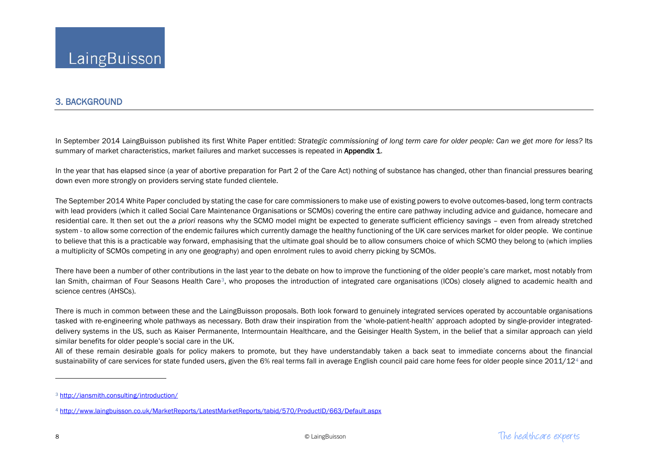## <span id="page-8-1"></span><span id="page-8-0"></span>3. BACKGROUND

In September 2014 LaingBuisson published its first White Paper entitled: *Strategic commissioning of long term care for older people: Can we get more for less?* Its summary of market characteristics, market failures and market successes is repeated in Appendix 1.

In the year that has elapsed since (a year of abortive preparation for Part 2 of the Care Act) nothing of substance has changed, other than financial pressures bearing down even more strongly on providers serving state funded clientele.

The September 2014 White Paper concluded by stating the case for care commissioners to make use of existing powers to evolve outcomes-based, long term contracts with lead providers (which it called Social Care Maintenance Organisations or SCMOs) covering the entire care pathway including advice and guidance, homecare and residential care. It then set out the *a priori* reasons why the SCMO model might be expected to generate sufficient efficiency savings – even from already stretched system - to allow some correction of the endemic failures which currently damage the healthy functioning of the UK care services market for older people. We continue to believe that this is a practicable way forward, emphasising that the ultimate goal should be to allow consumers choice of which SCMO they belong to (which implies a multiplicity of SCMOs competing in any one geography) and open enrolment rules to avoid cherry picking by SCMOs.

There have been a number of other contributions in the last year to the debate on how to improve the functioning of the older people's care market, most notably from Ian Smith, chairman of Four Seasons Health Care[3](#page-8-0), who proposes the introduction of integrated care organisations (ICOs) closely aligned to academic health and science centres (AHSCs).

There is much in common between these and the LaingBuisson proposals. Both look forward to genuinely integrated services operated by accountable organisations tasked with re-engineering whole pathways as necessary. Both draw their inspiration from the 'whole-patient-health' approach adopted by single-provider integrateddelivery systems in the US, such as Kaiser Permanente, Intermountain Healthcare, and the Geisinger Health System, in the belief that a similar approach can yield similar benefits for older people's social care in the UK.

All of these remain desirable goals for policy makers to promote, but they have understandably taken a back seat to immediate concerns about the financial sustainability of care services for state funded users, given the 6% real terms fall in average English council paid care home fees for older people since 2011/12<sup>[4](#page-8-1)</sup> and

 $\overline{\phantom{a}}$ 

<sup>3</sup> <http://iansmith.consulting/introduction/>

<sup>4</sup> <http://www.laingbuisson.co.uk/MarketReports/LatestMarketReports/tabid/570/ProductID/663/Default.aspx>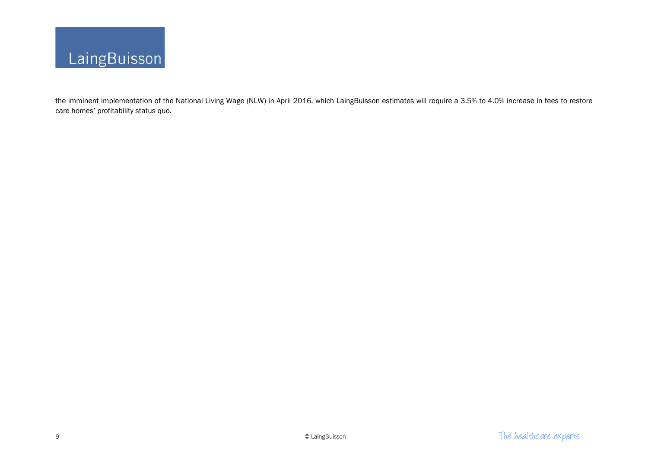

the imminent implementation of the National Living Wage (NLW) in April 2016, which LaingBuisson estimates will require a 3.5% to 4.0% increase in fees to restore care homes' profitability status quo.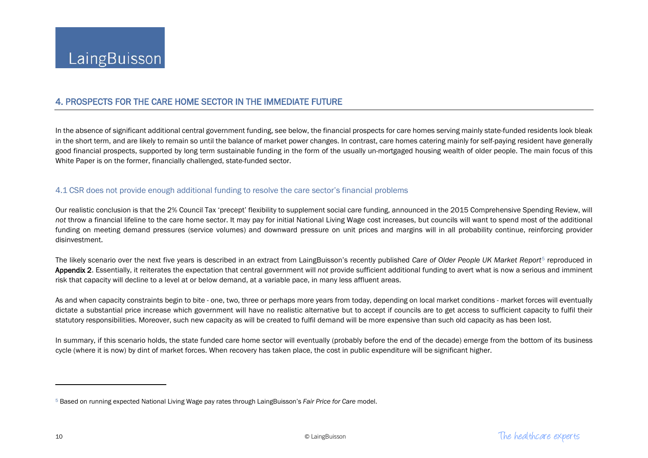# <span id="page-10-0"></span>4. PROSPECTS FOR THE CARE HOME SECTOR IN THE IMMEDIATE FUTURE

In the absence of significant additional central government funding, see below, the financial prospects for care homes serving mainly state-funded residents look bleak in the short term, and are likely to remain so until the balance of market power changes. In contrast, care homes catering mainly for self-paying resident have generally good financial prospects, supported by long term sustainable funding in the form of the usually un-mortgaged housing wealth of older people. The main focus of this White Paper is on the former, financially challenged, state-funded sector.

#### 4.1 CSR does not provide enough additional funding to resolve the care sector's financial problems

Our realistic conclusion is that the 2% Council Tax 'precept' flexibility to supplement social care funding, announced in the 2015 Comprehensive Spending Review, will *not* throw a financial lifeline to the care home sector. It may pay for initial National Living Wage cost increases, but councils will want to spend most of the additional funding on meeting demand pressures (service volumes) and downward pressure on unit prices and margins will in all probability continue, reinforcing provider disinvestment.

The likely scenario over the next five years is described in an extract from LaingBuisson's recently published *Care of Older People UK Market Report*[5](#page-10-0) reproduced in Appendix 2. Essentially, it reiterates the expectation that central government will *not* provide sufficient additional funding to avert what is now a serious and imminent risk that capacity will decline to a level at or below demand, at a variable pace, in many less affluent areas.

As and when capacity constraints begin to bite - one, two, three or perhaps more years from today, depending on local market conditions - market forces will eventually dictate a substantial price increase which government will have no realistic alternative but to accept if councils are to get access to sufficient capacity to fulfil their statutory responsibilities. Moreover, such new capacity as will be created to fulfil demand will be more expensive than such old capacity as has been lost.

In summary, if this scenario holds, the state funded care home sector will eventually (probably before the end of the decade) emerge from the bottom of its business cycle (where it is now) by dint of market forces. When recovery has taken place, the cost in public expenditure will be significant higher.

 $\overline{\phantom{a}}$ 

<sup>5</sup> Based on running expected National Living Wage pay rates through LaingBuisson's *Fair Price for Care* model.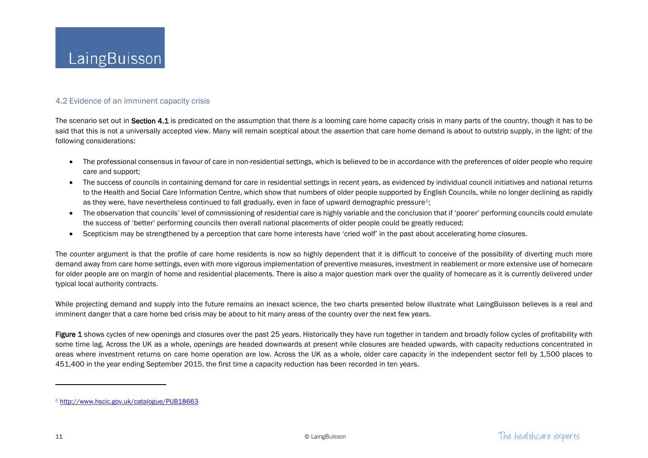### <span id="page-11-0"></span>4.2 Evidence of an imminent capacity crisis

The scenario set out in Section 4.1 is predicated on the assumption that there *is* a looming care home capacity crisis in many parts of the country, though it has to be said that this is not a universally accepted view. Many will remain sceptical about the assertion that care home demand is about to outstrip supply, in the light: of the following considerations:

- The professional consensus in favour of care in non-residential settings, which is believed to be in accordance with the preferences of older people who require care and support;
- The success of councils in containing demand for care in residential settings in recent years, as evidenced by individual council initiatives and national returns to the Health and Social Care Information Centre, which show that numbers of older people supported by English Councils, while no longer declining as rapidly as they were, have nevertheless continued to fall gradually, even in face of upward demographic pressure<sup>6</sup>;
- The observation that councils' level of commissioning of residential care is highly variable and the conclusion that if 'poorer' performing councils could emulate the success of 'better' performing councils then overall national placements of older people could be greatly reduced;
- Scepticism may be strengthened by a perception that care home interests have 'cried wolf' in the past about accelerating home closures.

The counter argument is that the profile of care home residents is now so highly dependent that it is difficult to conceive of the possibility of diverting much more demand away from care home settings, even with more vigorous implementation of preventive measures, investment in reablement or more extensive use of homecare for older people are on margin of home and residential placements. There is also a major question mark over the quality of homecare as it is currently delivered under typical local authority contracts.

While projecting demand and supply into the future remains an inexact science, the two charts presented below illustrate what LaingBuisson believes is a real and imminent danger that a care home bed crisis may be about to hit many areas of the country over the next few years.

Figure 1 shows cycles of new openings and closures over the past 25 years. Historically they have run together in tandem and broadly follow cycles of profitability with some time lag. Across the UK as a whole, openings are headed downwards at present while closures are headed upwards, with capacity reductions concentrated in areas where investment returns on care home operation are low. Across the UK as a whole, older care capacity in the independent sector fell by 1,500 places to 451,400 in the year ending September 2015, the first time a capacity reduction has been recorded in ten years.

 $\overline{\phantom{a}}$ 

<sup>6</sup> <http://www.hscic.gov.uk/catalogue/PUB18663>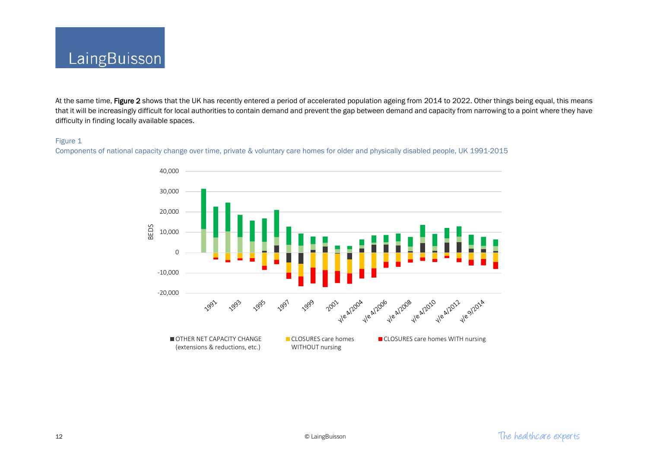

At the same time, Figure 2 shows that the UK has recently entered a period of accelerated population ageing from 2014 to 2022. Other things being equal, this means that it will be increasingly difficult for local authorities to contain demand and prevent the gap between demand and capacity from narrowing to a point where they have difficulty in finding locally available spaces.

#### Figure 1

Components of national capacity change over time, private & voluntary care homes for older and physically disabled people, UK 1991-2015

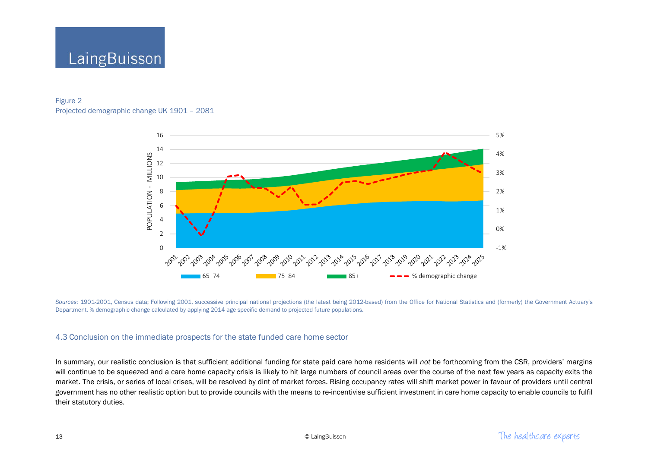

## Figure 2 Projected demographic change UK 1901 – 2081



Sources: 1901-2001, Census data; Following 2001, successive principal national projections (the latest being 2012-based) from the Office for National Statistics and (formerly) the Government Actuary's Department. % demographic change calculated by applying 2014 age specific demand to projected future populations.

### 4.3 Conclusion on the immediate prospects for the state funded care home sector

In summary, our realistic conclusion is that sufficient additional funding for state paid care home residents will *not* be forthcoming from the CSR, providers' margins will continue to be squeezed and a care home capacity crisis is likely to hit large numbers of council areas over the course of the next few years as capacity exits the market. The crisis, or series of local crises, will be resolved by dint of market forces. Rising occupancy rates will shift market power in favour of providers until central government has no other realistic option but to provide councils with the means to re-incentivise sufficient investment in care home capacity to enable councils to fulfil their statutory duties.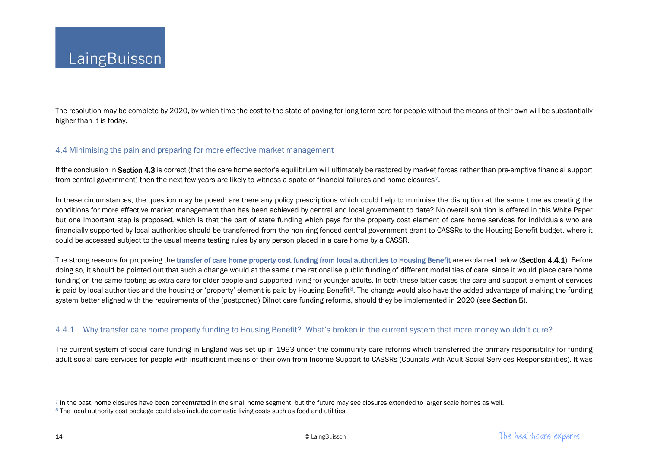<span id="page-14-1"></span><span id="page-14-0"></span>The resolution may be complete by 2020, by which time the cost to the state of paying for long term care for people without the means of their own will be substantially higher than it is today.

### 4.4 Minimising the pain and preparing for more effective market management

If the conclusion in Section 4.3 is correct (that the care home sector's equilibrium will ultimately be restored by market forces rather than pre-emptive financial support from central government) then the next few years are likely to witness a spate of financial failures and home closures<sup>[7](#page-14-0)</sup>.

In these circumstances, the question may be posed: are there any policy prescriptions which could help to minimise the disruption at the same time as creating the conditions for more effective market management than has been achieved by central and local government to date? No overall solution is offered in this White Paper but one important step is proposed, which is that the part of state funding which pays for the property cost element of care home services for individuals who are financially supported by local authorities should be transferred from the non-ring-fenced central government grant to CASSRs to the Housing Benefit budget, where it could be accessed subject to the usual means testing rules by any person placed in a care home by a CASSR.

The strong reasons for proposing the transfer of care home property cost funding from local authorities to Housing Benefit are explained below (Section 4.4.1). Before doing so, it should be pointed out that such a change would at the same time rationalise public funding of different modalities of care, since it would place care home funding on the same footing as extra care for older people and supported living for younger adults. In both these latter cases the care and support element of services is paid by local authorities and the housing or 'property' element is paid by Housing Benefit<sup>8</sup>. The change would also have the added advantage of making the funding system better aligned with the requirements of the (postponed) Dilnot care funding reforms, should they be implemented in 2020 (see Section 5).

### 4.4.1 Why transfer care home property funding to Housing Benefit? What's broken in the current system that more money wouldn't cure?

The current system of social care funding in England was set up in 1993 under the community care reforms which transferred the primary responsibility for funding adult social care services for people with insufficient means of their own from Income Support to CASSRs (Councils with Adult Social Services Responsibilities). It was

l

 $7$  In the past, home closures have been concentrated in the small home segment, but the future may see closures extended to larger scale homes as well.

<sup>&</sup>lt;sup>8</sup> The local authority cost package could also include domestic living costs such as food and utilities.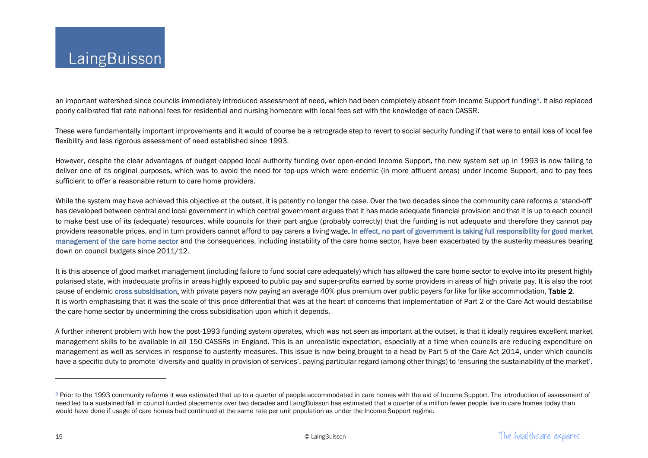<span id="page-15-0"></span>an important watershed since councils immediately introduced assessment of need, which had been completely absent from Income Support funding[9](#page-15-0). It also replaced poorly calibrated flat rate national fees for residential and nursing homecare with local fees set with the knowledge of each CASSR.

These were fundamentally important improvements and it would of course be a retrograde step to revert to social security funding if that were to entail loss of local fee flexibility and less rigorous assessment of need established since 1993.

However, despite the clear advantages of budget capped local authority funding over open-ended Income Support, the new system set up in 1993 is now failing to deliver one of its original purposes, which was to avoid the need for top-ups which were endemic (in more affluent areas) under Income Support, and to pay fees sufficient to offer a reasonable return to care home providers.

While the system may have achieved this objective at the outset, it is patently no longer the case. Over the two decades since the community care reforms a 'stand-off' has developed between central and local government in which central government argues that it has made adequate financial provision and that it is up to each council to make best use of its (adequate) resources, while councils for their part argue (probably correctly) that the funding is not adequate and therefore they cannot pay providers reasonable prices, and in turn providers cannot afford to pay carers a living wage. In effect, no part of government is taking full responsibility for good market management of the care home sector and the consequences, including instability of the care home sector, have been exacerbated by the austerity measures bearing down on council budgets since 2011/12.

It is this absence of good market management (including failure to fund social care adequately) which has allowed the care home sector to evolve into its present highly polarised state, with inadequate profits in areas highly exposed to public pay and super-profits earned by some providers in areas of high private pay. It is also the root cause of endemic cross subsidisation, with private payers now paying an average 40% plus premium over public payers for like for like accommodation, Table 2. It is worth emphasising that it was the scale of this price differential that was at the heart of concerns that implementation of Part 2 of the Care Act would destabilise the care home sector by undermining the cross subsidisation upon which it depends.

A further inherent problem with how the post-1993 funding system operates, which was not seen as important at the outset, is that it ideally requires excellent market management skills to be available in all 150 CASSRs in England. This is an unrealistic expectation, especially at a time when councils are reducing expenditure on management as well as services in response to austerity measures. This issue is now being brought to a head by Part 5 of the Care Act 2014, under which councils have a specific duty to promote 'diversity and quality in provision of services', paying particular regard (among other things) to 'ensuring the sustainability of the market'.

 $\overline{\phantom{a}}$ 

<sup>&</sup>lt;sup>9</sup> Prior to the 1993 community reforms it was estimated that up to a quarter of people accommodated in care homes with the aid of Income Support. The introduction of assessment of need led to a sustained fall in council funded placements over two decades and LaingBuisson has estimated that a quarter of a million fewer people live in care homes today than would have done if usage of care homes had continued at the same rate per unit population as under the Income Support regime.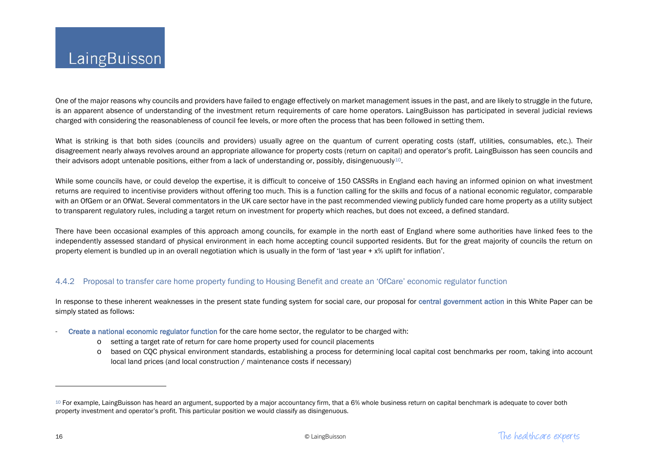<span id="page-16-0"></span>One of the major reasons why councils and providers have failed to engage effectively on market management issues in the past, and are likely to struggle in the future, is an apparent absence of understanding of the investment return requirements of care home operators. LaingBuisson has participated in several judicial reviews charged with considering the reasonableness of council fee levels, or more often the process that has been followed in setting them.

What is striking is that both sides (councils and providers) usually agree on the quantum of current operating costs (staff, utilities, consumables, etc.). Their disagreement nearly always revolves around an appropriate allowance for property costs (return on capital) and operator's profit. LaingBuisson has seen councils and their advisors adopt untenable positions, either from a lack of understanding or, possibly, disingenuously<sup>[10](#page-16-0)</sup>.

While some councils have, or could develop the expertise, it is difficult to conceive of 150 CASSRs in England each having an informed opinion on what investment returns are required to incentivise providers without offering too much. This is a function calling for the skills and focus of a national economic regulator, comparable with an OfGem or an OfWat. Several commentators in the UK care sector have in the past recommended viewing publicly funded care home property as a utility subject to transparent regulatory rules, including a target return on investment for property which reaches, but does not exceed, a defined standard.

There have been occasional examples of this approach among councils, for example in the north east of England where some authorities have linked fees to the independently assessed standard of physical environment in each home accepting council supported residents. But for the great majority of councils the return on property element is bundled up in an overall negotiation which is usually in the form of 'last year + x% uplift for inflation'.

# 4.4.2 Proposal to transfer care home property funding to Housing Benefit and create an 'OfCare' economic regulator function

In response to these inherent weaknesses in the present state funding system for social care, our proposal for central government action in this White Paper can be simply stated as follows:

- Create a national economic regulator function for the care home sector, the regulator to be charged with:
	- o setting a target rate of return for care home property used for council placements
	- o based on CQC physical environment standards, establishing a process for determining local capital cost benchmarks per room, taking into account local land prices (and local construction / maintenance costs if necessary)

l

<sup>&</sup>lt;sup>10</sup> For example, LaingBuisson has heard an argument, supported by a major accountancy firm, that a 6% whole business return on capital benchmark is adequate to cover both property investment and operator's profit. This particular position we would classify as disingenuous.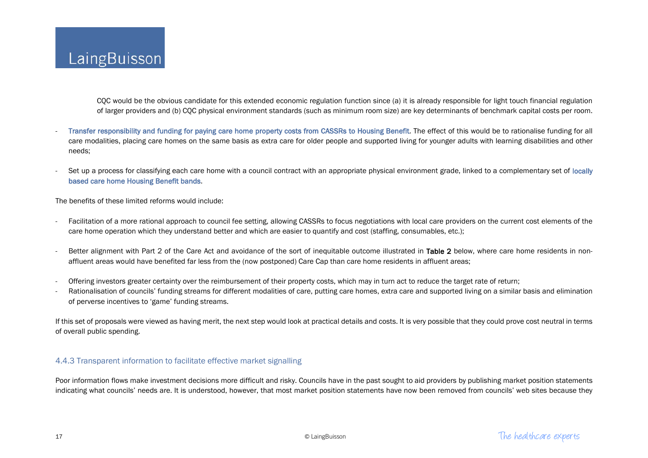CQC would be the obvious candidate for this extended economic regulation function since (a) it is already responsible for light touch financial regulation of larger providers and (b) CQC physical environment standards (such as minimum room size) are key determinants of benchmark capital costs per room.

- Transfer responsibility and funding for paying care home property costs from CASSRs to Housing Benefit. The effect of this would be to rationalise funding for all care modalities, placing care homes on the same basis as extra care for older people and supported living for younger adults with learning disabilities and other needs;
- Set up a process for classifying each care home with a council contract with an appropriate physical environment grade, linked to a complementary set of locally based care home Housing Benefit bands.

The benefits of these limited reforms would include:

- Facilitation of a more rational approach to council fee setting, allowing CASSRs to focus negotiations with local care providers on the current cost elements of the care home operation which they understand better and which are easier to quantify and cost (staffing, consumables, etc.);
- Better alignment with Part 2 of the Care Act and avoidance of the sort of inequitable outcome illustrated in Table 2 below, where care home residents in nonaffluent areas would have benefited far less from the (now postponed) Care Cap than care home residents in affluent areas;
- Offering investors greater certainty over the reimbursement of their property costs, which may in turn act to reduce the target rate of return;
- Rationalisation of councils' funding streams for different modalities of care, putting care homes, extra care and supported living on a similar basis and elimination of perverse incentives to 'game' funding streams.

If this set of proposals were viewed as having merit, the next step would look at practical details and costs. It is very possible that they could prove cost neutral in terms of overall public spending.

## 4.4.3 Transparent information to facilitate effective market signalling

Poor information flows make investment decisions more difficult and risky. Councils have in the past sought to aid providers by publishing market position statements indicating what councils' needs are. It is understood, however, that most market position statements have now been removed from councils' web sites because they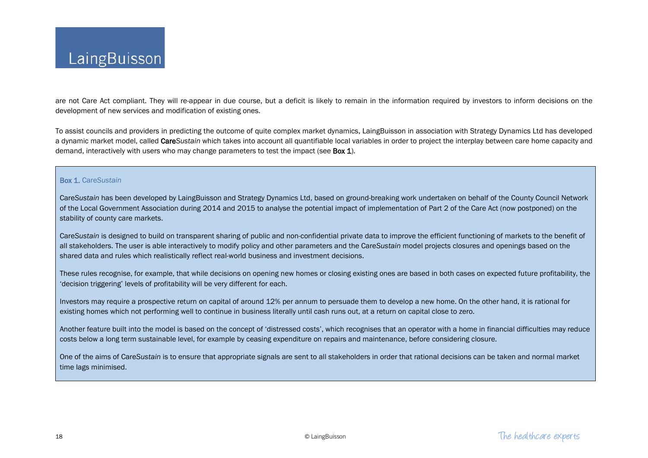

are not Care Act compliant. They will re-appear in due course, but a deficit is likely to remain in the information required by investors to inform decisions on the development of new services and modification of existing ones.

To assist councils and providers in predicting the outcome of quite complex market dynamics, LaingBuisson in association with Strategy Dynamics Ltd has developed a dynamic market model, called Care*Sustain* which takes into account all quantifiable local variables in order to project the interplay between care home capacity and demand, interactively with users who may change parameters to test the impact (see **Box 1**).

#### Box 1. Care*Sustain*

Care*Sustain* has been developed by LaingBuisson and Strategy Dynamics Ltd, based on ground-breaking work undertaken on behalf of the County Council Network of the Local Government Association during 2014 and 2015 to analyse the potential impact of implementation of Part 2 of the Care Act (now postponed) on the stability of county care markets.

Care*Sustain* is designed to build on transparent sharing of public and non-confidential private data to improve the efficient functioning of markets to the benefit of all stakeholders. The user is able interactively to modify policy and other parameters and the Care*Sustain* model projects closures and openings based on the shared data and rules which realistically reflect real-world business and investment decisions.

These rules recognise, for example, that while decisions on opening new homes or closing existing ones are based in both cases on expected future profitability, the 'decision triggering' levels of profitability will be very different for each.

Investors may require a prospective return on capital of around 12% per annum to persuade them to develop a new home. On the other hand, it is rational for existing homes which not performing well to continue in business literally until cash runs out, at a return on capital close to zero.

Another feature built into the model is based on the concept of 'distressed costs', which recognises that an operator with a home in financial difficulties may reduce costs below a long term sustainable level, for example by ceasing expenditure on repairs and maintenance, before considering closure.

One of the aims of Care*Sustain* is to ensure that appropriate signals are sent to all stakeholders in order that rational decisions can be taken and normal market time lags minimised.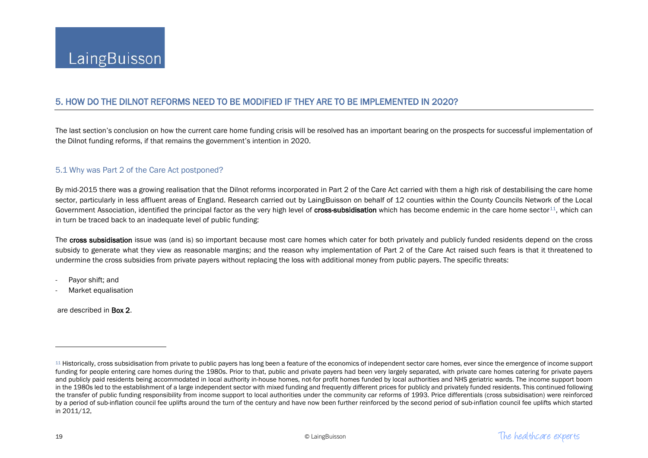# <span id="page-19-0"></span>5. HOW DO THE DILNOT REFORMS NEED TO BE MODIFIED IF THEY ARE TO BE IMPLEMENTED IN 2020?

The last section's conclusion on how the current care home funding crisis will be resolved has an important bearing on the prospects for successful implementation of the Dilnot funding reforms, if that remains the government's intention in 2020.

## 5.1 Why was Part 2 of the Care Act postponed?

By mid-2015 there was a growing realisation that the Dilnot reforms incorporated in Part 2 of the Care Act carried with them a high risk of destabilising the care home sector, particularly in less affluent areas of England. Research carried out by LaingBuisson on behalf of 12 counties within the County Councils Network of the Local Government Association, identified the principal factor as the very high level of cross-subsidisation which has become endemic in the care home sector $11$ , which can in turn be traced back to an inadequate level of public funding:

The cross subsidisation issue was (and is) so important because most care homes which cater for both privately and publicly funded residents depend on the cross subsidy to generate what they view as reasonable margins; and the reason why implementation of Part 2 of the Care Act raised such fears is that it threatened to undermine the cross subsidies from private payers without replacing the loss with additional money from public payers. The specific threats:

- Payor shift; and
- Market equalisation

are described in Box 2.

 $\overline{a}$ 

<sup>&</sup>lt;sup>11</sup> Historically, cross subsidisation from private to public payers has long been a feature of the economics of independent sector care homes, ever since the emergence of income support funding for people entering care homes during the 1980s. Prior to that, public and private payers had been very largely separated, with private care homes catering for private payers and publicly paid residents being accommodated in local authority in-house homes, not-for profit homes funded by local authorities and NHS geriatric wards. The income support boom in the 1980s led to the establishment of a large independent sector with mixed funding and frequently different prices for publicly and privately funded residents. This continued following the transfer of public funding responsibility from income support to local authorities under the community car reforms of 1993. Price differentials (cross subsidisation) were reinforced by a period of sub-inflation council fee uplifts around the turn of the century and have now been further reinforced by the second period of sub-inflation council fee uplifts which started in 2011/12,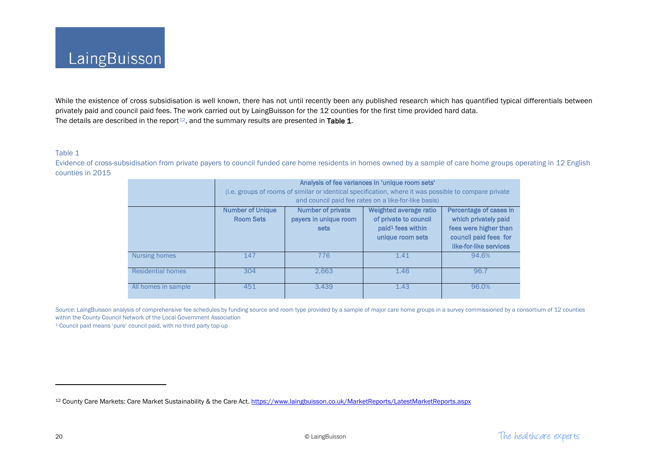<span id="page-20-0"></span>While the existence of cross subsidisation is well known, there has not until recently been any published research which has quantified typical differentials between privately paid and council paid fees. The work carried out by LaingBuisson for the 12 counties for the first time provided hard data. The details are described in the report<sup>12</sup>, and the summary results are presented in Table 1.

#### Table 1

Evidence of cross-subsidisation from private payers to council funded care home residents in homes owned by a sample of care home groups operating in 12 English counties in 2015

|                          | Analysis of fee variances in 'unique room sets'                                                       |                          |                               |                        |
|--------------------------|-------------------------------------------------------------------------------------------------------|--------------------------|-------------------------------|------------------------|
|                          | (i.e. groups of rooms of similar or identical specification, where it was possible to compare private |                          |                               |                        |
|                          | and council paid fee rates on a like-for-like basis)                                                  |                          |                               |                        |
|                          | <b>Number of Unique</b>                                                                               | <b>Number of private</b> | Weighted average ratio        | Percentage of cases in |
|                          | <b>Room Sets</b>                                                                                      | payers in unique room    | of private to council         | which privately paid   |
|                          |                                                                                                       | sets                     | paid <sup>1</sup> fees within | fees were higher than  |
|                          |                                                                                                       |                          | unique room sets              | council paid fees for  |
|                          |                                                                                                       |                          |                               | like-for-like services |
| Nursing homes            | 147                                                                                                   | 776                      | 1.41                          | 94.6%                  |
| <b>Residential homes</b> | 304                                                                                                   | 2.663                    | 1.46                          | 96.7                   |
| All homes in sample      | 451                                                                                                   | 3.439                    | 1.43                          | 96.0%                  |

Source: LaingBuisson analysis of comprehensive fee schedules by funding source and room type provided by a sample of major care home groups in a survey commissioned by a consortium of 12 counties within the County Council Network of the Local Government Association

<sup>1</sup> Council paid means 'pure' council paid, with no third party top-up

 $\overline{\phantom{a}}$ 

<sup>12</sup> [County Care Markets: Care Market Sustainability & the Care Act.](https://www.laingbuisson.co.uk/MarketReports/LatestMarketReports/tabid/570/ProductID/661/Default.aspx)<https://www.laingbuisson.co.uk/MarketReports/LatestMarketReports.aspx>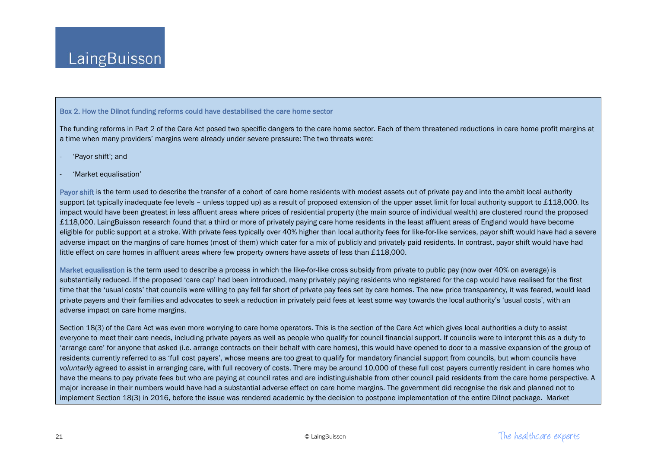#### Box 2. How the Dilnot funding reforms could have destabilised the care home sector

The funding reforms in Part 2 of the Care Act posed two specific dangers to the care home sector. Each of them threatened reductions in care home profit margins at a time when many providers' margins were already under severe pressure: The two threats were:

- 'Payor shift'; and
- 'Market equalisation'

Payor shift is the term used to describe the transfer of a cohort of care home residents with modest assets out of private pay and into the ambit local authority support (at typically inadequate fee levels – unless topped up) as a result of proposed extension of the upper asset limit for local authority support to £118,000. Its impact would have been greatest in less affluent areas where prices of residential property (the main source of individual wealth) are clustered round the proposed £118,000. LaingBuisson research found that a third or more of privately paying care home residents in the least affluent areas of England would have become eligible for public support at a stroke. With private fees typically over 40% higher than local authority fees for like-for-like services, payor shift would have had a severe adverse impact on the margins of care homes (most of them) which cater for a mix of publicly and privately paid residents. In contrast, payor shift would have had little effect on care homes in affluent areas where few property owners have assets of less than £118,000.

Market equalisation is the term used to describe a process in which the like-for-like cross subsidy from private to public pay (now over 40% on average) is substantially reduced. If the proposed 'care cap' had been introduced, many privately paying residents who registered for the cap would have realised for the first time that the 'usual costs' that councils were willing to pay fell far short of private pay fees set by care homes. The new price transparency, it was feared, would lead private payers and their families and advocates to seek a reduction in privately paid fees at least some way towards the local authority's 'usual costs', with an adverse impact on care home margins.

Section 18(3) of the Care Act was even more worrying to care home operators. This is the section of the Care Act which gives local authorities a duty to assist everyone to meet their care needs, including private payers as well as people who qualify for council financial support. If councils were to interpret this as a duty to 'arrange care' for anyone that asked (i.e. arrange contracts on their behalf with care homes), this would have opened to door to a massive expansion of the group of residents currently referred to as 'full cost payers', whose means are too great to qualify for mandatory financial support from councils, but whom councils have *voluntarily* agreed to assist in arranging care, with full recovery of costs. There may be around 10,000 of these full cost payers currently resident in care homes who have the means to pay private fees but who are paying at council rates and are indistinguishable from other council paid residents from the care home perspective. A major increase in their numbers would have had a substantial adverse effect on care home margins. The government did recognise the risk and planned not to implement Section 18(3) in 2016, before the issue was rendered academic by the decision to postpone implementation of the entire Dilnot package. Market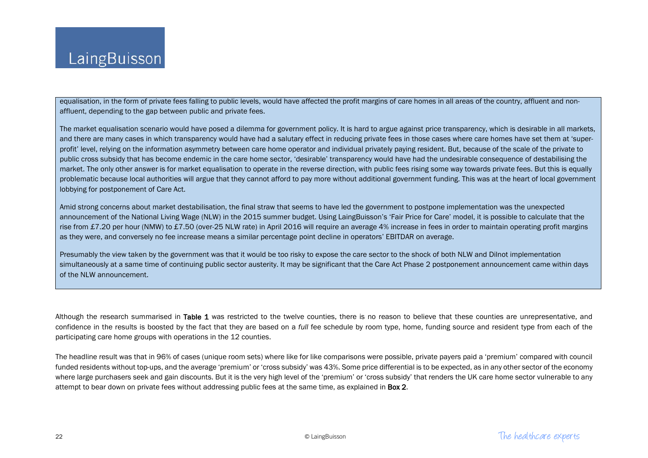equalisation, in the form of private fees falling to public levels, would have affected the profit margins of care homes in all areas of the country, affluent and nonaffluent, depending to the gap between public and private fees.

The market equalisation scenario would have posed a dilemma for government policy. It is hard to argue against price transparency, which is desirable in all markets, and there are many cases in which transparency would have had a salutary effect in reducing private fees in those cases where care homes have set them at 'superprofit' level, relying on the information asymmetry between care home operator and individual privately paying resident. But, because of the scale of the private to public cross subsidy that has become endemic in the care home sector, 'desirable' transparency would have had the undesirable consequence of destabilising the market. The only other answer is for market equalisation to operate in the reverse direction, with public fees rising some way towards private fees. But this is equally problematic because local authorities will argue that they cannot afford to pay more without additional government funding. This was at the heart of local government lobbying for postponement of Care Act.

Amid strong concerns about market destabilisation, the final straw that seems to have led the government to postpone implementation was the unexpected announcement of the National Living Wage (NLW) in the 2015 summer budget. Using LaingBuisson's 'Fair Price for Care' model, it is possible to calculate that the rise from £7.20 per hour (NMW) to £7.50 (over-25 NLW rate) in April 2016 will require an average 4% increase in fees in order to maintain operating profit margins as they were, and conversely no fee increase means a similar percentage point decline in operators' EBITDAR on average.

Presumably the view taken by the government was that it would be too risky to expose the care sector to the shock of both NLW and Dilnot implementation simultaneously at a same time of continuing public sector austerity. It may be significant that the Care Act Phase 2 postponement announcement came within days of the NLW announcement.

Although the research summarised in Table 1 was restricted to the twelve counties, there is no reason to believe that these counties are unrepresentative, and confidence in the results is boosted by the fact that they are based on a *full* fee schedule by room type, home, funding source and resident type from each of the participating care home groups with operations in the 12 counties.

The headline result was that in 96% of cases (unique room sets) where like for like comparisons were possible, private payers paid a 'premium' compared with council funded residents without top-ups, and the average 'premium' or 'cross subsidy' was 43%. Some price differential is to be expected, as in any other sector of the economy where large purchasers seek and gain discounts. But it is the very high level of the 'premium' or 'cross subsidy' that renders the UK care home sector vulnerable to any attempt to bear down on private fees without addressing public fees at the same time, as explained in **Box 2.**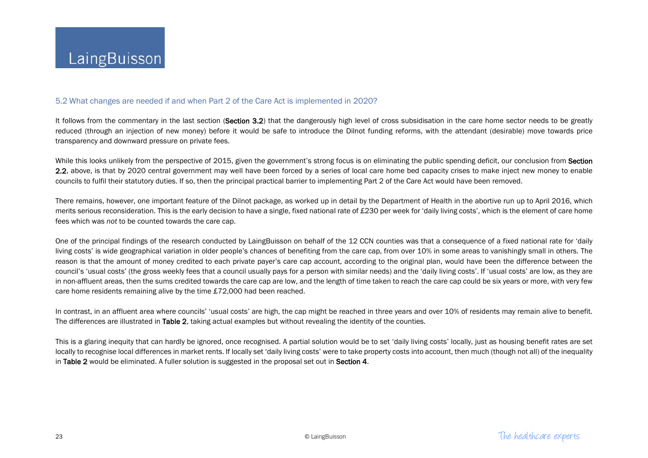#### 5.2 What changes are needed if and when Part 2 of the Care Act is implemented in 2020?

It follows from the commentary in the last section (Section 3.2) that the dangerously high level of cross subsidisation in the care home sector needs to be greatly reduced (through an injection of new money) before it would be safe to introduce the Dilnot funding reforms, with the attendant (desirable) move towards price transparency and downward pressure on private fees.

While this looks unlikely from the perspective of 2015, given the government's strong focus is on eliminating the public spending deficit, our conclusion from Section 2.2, above, is that by 2020 central government may well have been forced by a series of local care home bed capacity crises to make inject new money to enable councils to fulfil their statutory duties. If so, then the principal practical barrier to implementing Part 2 of the Care Act would have been removed.

There remains, however, one important feature of the Dilnot package, as worked up in detail by the Department of Health in the abortive run up to April 2016, which merits serious reconsideration. This is the early decision to have a single, fixed national rate of £230 per week for 'daily living costs', which is the element of care home fees which was *not* to be counted towards the care cap.

One of the principal findings of the research conducted by LaingBuisson on behalf of the 12 CCN counties was that a consequence of a fixed national rate for 'daily living costs' is wide geographical variation in older people's chances of benefiting from the care cap, from over 10% in some areas to vanishingly small in others. The reason is that the amount of money credited to each private payer's care cap account, according to the original plan, would have been the difference between the council's 'usual costs' (the gross weekly fees that a council usually pays for a person with similar needs) and the 'daily living costs'. If 'usual costs' are low, as they are in non-affluent areas, then the sums credited towards the care cap are low, and the length of time taken to reach the care cap could be six years or more, with very few care home residents remaining alive by the time £72,000 had been reached.

In contrast, in an affluent area where councils' 'usual costs' are high, the cap might be reached in three years and over 10% of residents may remain alive to benefit. The differences are illustrated in Table 2, taking actual examples but without revealing the identity of the counties.

This is a glaring inequity that can hardly be ignored, once recognised. A partial solution would be to set 'daily living costs' locally, just as housing benefit rates are set locally to recognise local differences in market rents. If locally set 'daily living costs' were to take property costs into account, then much (though not all) of the inequality in Table 2 would be eliminated. A fuller solution is suggested in the proposal set out in Section 4.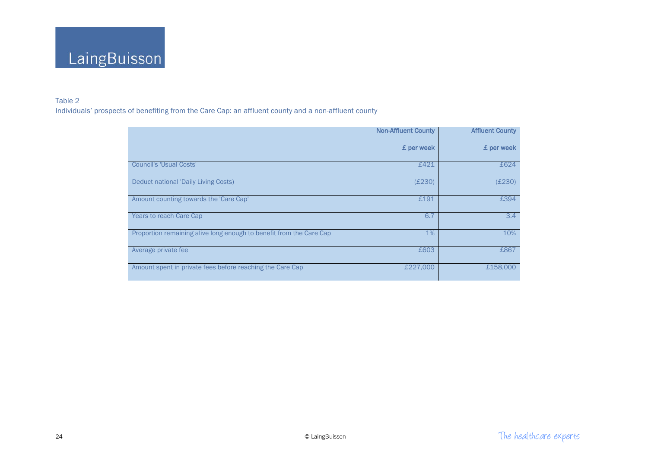

## Table 2

Individuals' prospects of benefiting from the Care Cap: an affluent county and a non-affluent county

|                                                                     | <b>Non-Affluent County</b> | <b>Affluent County</b> |
|---------------------------------------------------------------------|----------------------------|------------------------|
|                                                                     | £ per week                 | £ per week             |
| <b>Council's 'Usual Costs'</b>                                      | £421                       | £624                   |
| <b>Deduct national 'Daily Living Costs)</b>                         | (E230)                     | (E230)                 |
| Amount counting towards the 'Care Cap'                              | £191                       | £394                   |
| <b>Years to reach Care Cap</b>                                      | 6.7                        | 3.4                    |
| Proportion remaining alive long enough to benefit from the Care Cap | $1\%$                      | 10%                    |
| Average private fee                                                 | £603                       | £867                   |
| Amount spent in private fees before reaching the Care Cap           | £227,000                   | £158,000               |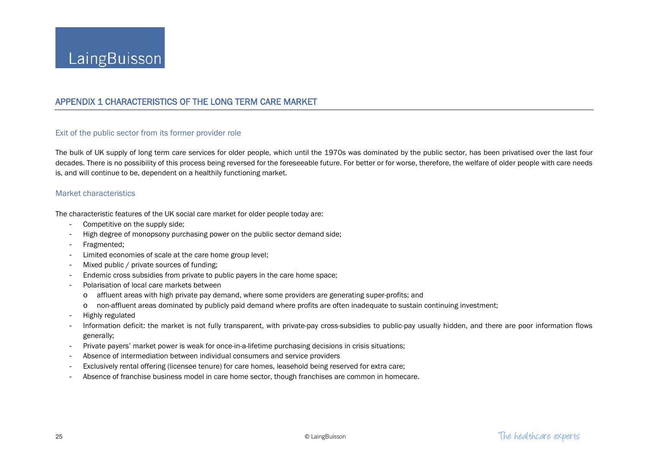# APPENDIX 1 CHARACTERISTICS OF THE LONG TERM CARE MARKET

## Exit of the public sector from its former provider role

The bulk of UK supply of long term care services for older people, which until the 1970s was dominated by the public sector, has been privatised over the last four decades. There is no possibility of this process being reversed for the foreseeable future. For better or for worse, therefore, the welfare of older people with care needs is, and will continue to be, dependent on a healthily functioning market.

#### Market characteristics

The characteristic features of the UK social care market for older people today are:

- Competitive on the supply side;
- High degree of monopsony purchasing power on the public sector demand side;
- Fragmented;
- Limited economies of scale at the care home group level;
- Mixed public / private sources of funding;
- Endemic cross subsidies from private to public payers in the care home space;
- Polarisation of local care markets between
	- o affluent areas with high private pay demand, where some providers are generating super-profits; and
	- o non-affluent areas dominated by publicly paid demand where profits are often inadequate to sustain continuing investment;
- Highly regulated
- Information deficit: the market is not fully transparent, with private-pay cross-subsidies to public-pay usually hidden, and there are poor information flows generally;
- Private payers' market power is weak for once-in-a-lifetime purchasing decisions in crisis situations;
- Absence of intermediation between individual consumers and service providers
- Exclusively rental offering (licensee tenure) for care homes, leasehold being reserved for extra care;
- Absence of franchise business model in care home sector, though franchises are common in homecare.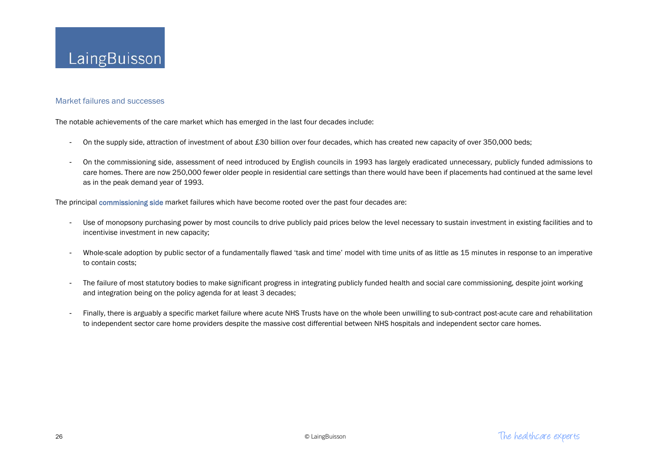#### Market failures and successes

The notable achievements of the care market which has emerged in the last four decades include:

- On the supply side, attraction of investment of about £30 billion over four decades, which has created new capacity of over 350,000 beds;
- On the commissioning side, assessment of need introduced by English councils in 1993 has largely eradicated unnecessary, publicly funded admissions to care homes. There are now 250,000 fewer older people in residential care settings than there would have been if placements had continued at the same level as in the peak demand year of 1993.

The principal commissioning side market failures which have become rooted over the past four decades are:

- Use of monopsony purchasing power by most councils to drive publicly paid prices below the level necessary to sustain investment in existing facilities and to incentivise investment in new capacity;
- Whole-scale adoption by public sector of a fundamentally flawed 'task and time' model with time units of as little as 15 minutes in response to an imperative to contain costs;
- The failure of most statutory bodies to make significant progress in integrating publicly funded health and social care commissioning, despite joint working and integration being on the policy agenda for at least 3 decades;
- Finally, there is arguably a specific market failure where acute NHS Trusts have on the whole been unwilling to sub-contract post-acute care and rehabilitation to independent sector care home providers despite the massive cost differential between NHS hospitals and independent sector care homes.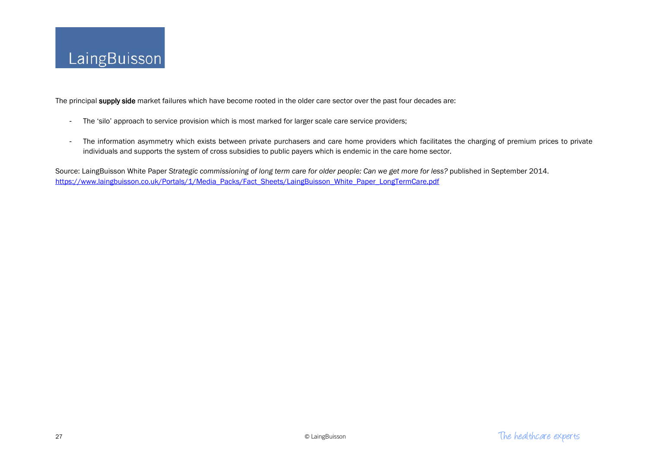

The principal supply side market failures which have become rooted in the older care sector over the past four decades are:

- The 'silo' approach to service provision which is most marked for larger scale care service providers;
- The information asymmetry which exists between private purchasers and care home providers which facilitates the charging of premium prices to private individuals and supports the system of cross subsidies to public payers which is endemic in the care home sector.

Source: LaingBuisson White Paper Strategic commissioning of long term care for older people: Can we get more for less? published in September 2014. [https://www.laingbuisson.co.uk/Portals/1/Media\\_Packs/Fact\\_Sheets/LaingBuisson\\_White\\_Paper\\_LongTermCare.pdf](https://www.laingbuisson.co.uk/Portals/1/Media_Packs/Fact_Sheets/LaingBuisson_White_Paper_LongTermCare.pdf)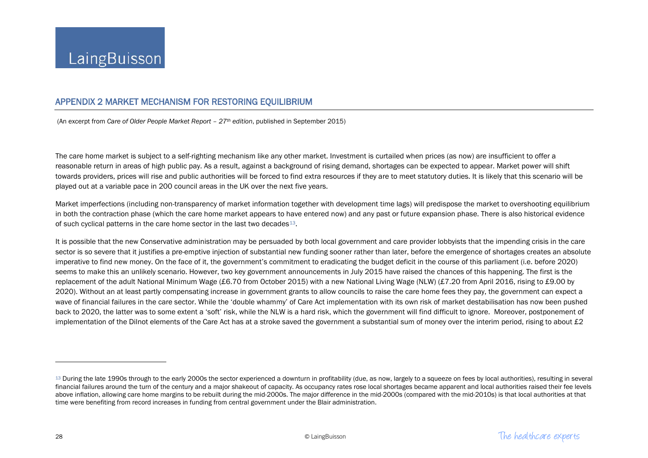## <span id="page-28-0"></span>APPENDIX 2 MARKET MECHANISM FOR RESTORING EQUILIBRIUM

(An excerpt from *Care of Older People Market Report – 27th edition*, published in September 2015)

The care home market is subject to a self-righting mechanism like any other market. Investment is curtailed when prices (as now) are insufficient to offer a reasonable return in areas of high public pay. As a result, against a background of rising demand, shortages can be expected to appear. Market power will shift towards providers, prices will rise and public authorities will be forced to find extra resources if they are to meet statutory duties. It is likely that this scenario will be played out at a variable pace in 200 council areas in the UK over the next five years.

Market imperfections (including non-transparency of market information together with development time lags) will predispose the market to overshooting equilibrium in both the contraction phase (which the care home market appears to have entered now) and any past or future expansion phase. There is also historical evidence of such cyclical patterns in the care home sector in the last two decades<sup>13</sup>.

It is possible that the new Conservative administration may be persuaded by both local government and care provider lobbyists that the impending crisis in the care sector is so severe that it justifies a pre-emptive injection of substantial new funding sooner rather than later, before the emergence of shortages creates an absolute imperative to find new money. On the face of it, the government's commitment to eradicating the budget deficit in the course of this parliament (i.e. before 2020) seems to make this an unlikely scenario. However, two key government announcements in July 2015 have raised the chances of this happening. The first is the replacement of the adult National Minimum Wage (£6.70 from October 2015) with a new National Living Wage (NLW) (£7.20 from April 2016, rising to £9.00 by 2020). Without an at least partly compensating increase in government grants to allow councils to raise the care home fees they pay, the government can expect a wave of financial failures in the care sector. While the 'double whammy' of Care Act implementation with its own risk of market destabilisation has now been pushed back to 2020, the latter was to some extent a 'soft' risk, while the NLW is a hard risk, which the government will find difficult to ignore. Moreover, postponement of implementation of the Dilnot elements of the Care Act has at a stroke saved the government a substantial sum of money over the interim period, rising to about £2

 $\overline{\phantom{a}}$ 

<sup>13</sup> During the late 1990s through to the early 2000s the sector experienced a downturn in profitability (due, as now, largely to a squeeze on fees by local authorities), resulting in several financial failures around the turn of the century and a major shakeout of capacity. As occupancy rates rose local shortages became apparent and local authorities raised their fee levels above inflation, allowing care home margins to be rebuilt during the mid-2000s. The major difference in the mid-2000s (compared with the mid-2010s) is that local authorities at that time were benefiting from record increases in funding from central government under the Blair administration.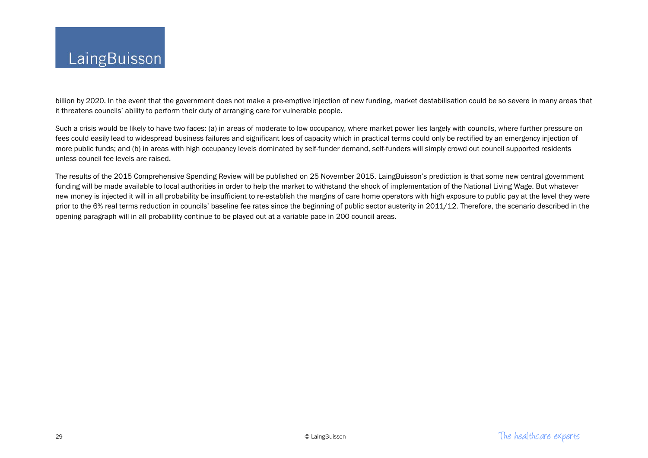billion by 2020. In the event that the government does not make a pre-emptive injection of new funding, market destabilisation could be so severe in many areas that it threatens councils' ability to perform their duty of arranging care for vulnerable people.

Such a crisis would be likely to have two faces: (a) in areas of moderate to low occupancy, where market power lies largely with councils, where further pressure on fees could easily lead to widespread business failures and significant loss of capacity which in practical terms could only be rectified by an emergency injection of more public funds; and (b) in areas with high occupancy levels dominated by self-funder demand, self-funders will simply crowd out council supported residents unless council fee levels are raised.

The results of the 2015 Comprehensive Spending Review will be published on 25 November 2015. LaingBuisson's prediction is that some new central government funding will be made available to local authorities in order to help the market to withstand the shock of implementation of the National Living Wage. But whatever new money is injected it will in all probability be insufficient to re-establish the margins of care home operators with high exposure to public pay at the level they were prior to the 6% real terms reduction in councils' baseline fee rates since the beginning of public sector austerity in 2011/12. Therefore, the scenario described in the opening paragraph will in all probability continue to be played out at a variable pace in 200 council areas.